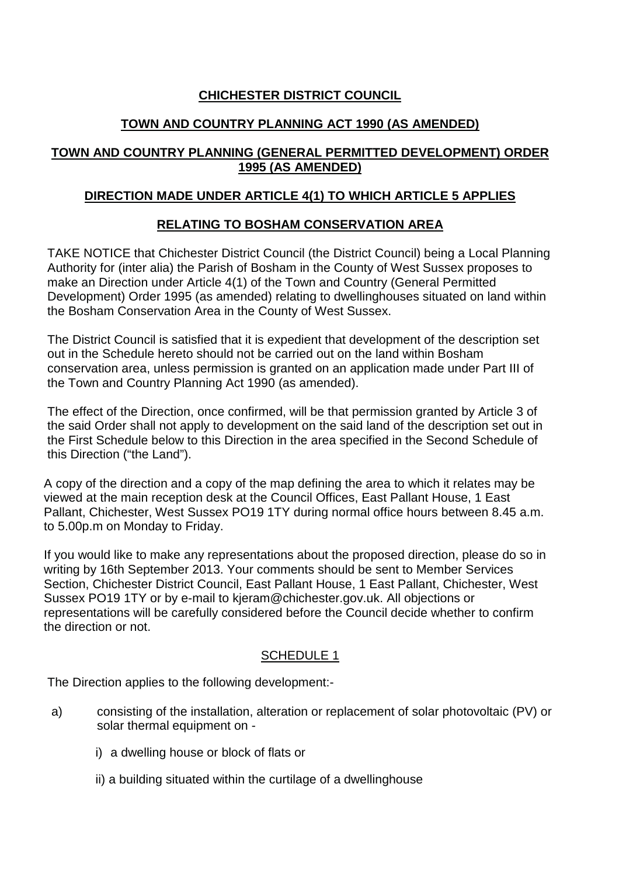## **CHICHESTER DISTRICT COUNCIL**

## **TOWN AND COUNTRY PLANNING ACT 1990 (AS AMENDED)**

## **TOWN AND COUNTRY PLANNING (GENERAL PERMITTED DEVELOPMENT) ORDER 1995 (AS AMENDED)**

## **DIRECTION MADE UNDER ARTICLE 4(1) TO WHICH ARTICLE 5 APPLIES**

## **RELATING TO BOSHAM CONSERVATION AREA**

TAKE NOTICE that Chichester District Council (the District Council) being a Local Planning Authority for (inter alia) the Parish of Bosham in the County of West Sussex proposes to make an Direction under Article 4(1) of the Town and Country (General Permitted Development) Order 1995 (as amended) relating to dwellinghouses situated on land within the Bosham Conservation Area in the County of West Sussex.

The District Council is satisfied that it is expedient that development of the description set out in the Schedule hereto should not be carried out on the land within Bosham conservation area, unless permission is granted on an application made under Part III of the Town and Country Planning Act 1990 (as amended).

The effect of the Direction, once confirmed, will be that permission granted by Article 3 of the said Order shall not apply to development on the said land of the description set out in the First Schedule below to this Direction in the area specified in the Second Schedule of this Direction ("the Land").

A copy of the direction and a copy of the map defining the area to which it relates may be viewed at the main reception desk at the Council Offices, East Pallant House, 1 East Pallant, Chichester, West Sussex PO19 1TY during normal office hours between 8.45 a.m. to 5.00p.m on Monday to Friday.

If you would like to make any representations about the proposed direction, please do so in writing by 16th September 2013. Your comments should be sent to Member Services Section, Chichester District Council, East Pallant House, 1 East Pallant, Chichester, West Sussex PO19 1TY or by e-mail to kjeram@chichester.gov.uk. All objections or representations will be carefully considered before the Council decide whether to confirm the direction or not.

### SCHEDULE 1

The Direction applies to the following development:-

- a) consisting of the installation, alteration or replacement of solar photovoltaic (PV) or solar thermal equipment on
	- i) a dwelling house or block of flats or
	- ii) a building situated within the curtilage of a dwellinghouse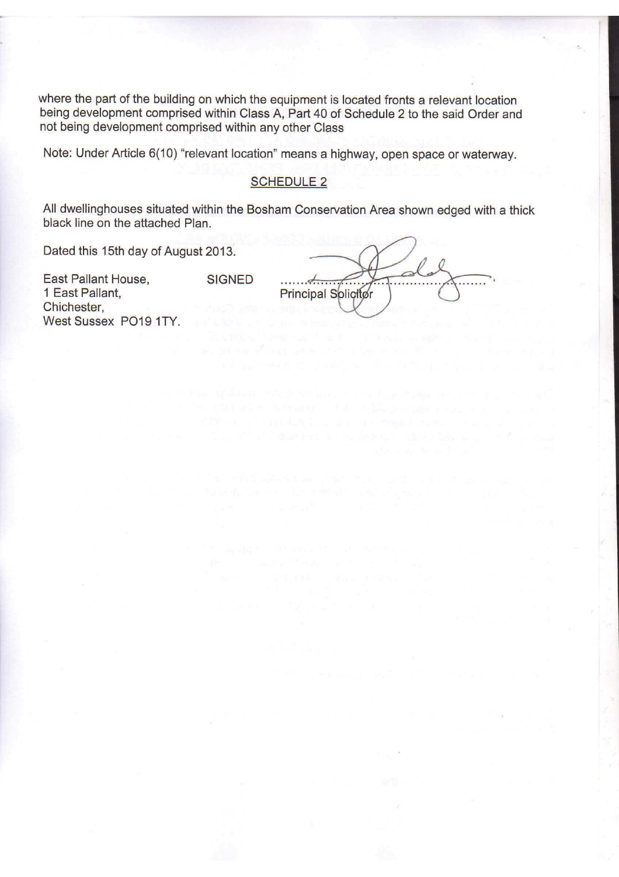where the part of the building on which the equipment is located fronts a relevant location being development comprised within Class A, Part 40 of Schedule 2 to the said Order and not being development comprised within any other Class

Note: Under Article 6(10) "relevant location" means a highway, open space or waterway.

### SCHEDULE 2

All dwellinghouses situated within the Bosham Conservation Area shown edged with a thick black line on the attached Plan.

Dated this 15th day of August 2013.

East Pallant House, 1 East Pallant. Chichester, West Sussex PO19 1TY. **SIGNED** 

 $\ldots$ Principal Solicitor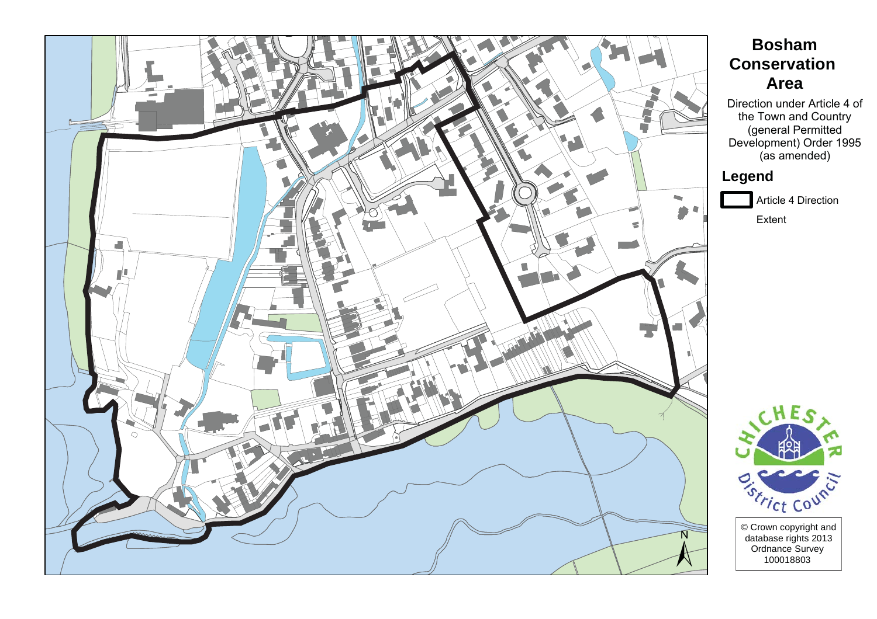

# **Bosham Conservation Area**

Direction under Article 4 of the Town and Country (general Permitted<br>Development) Order 1995 (as amended)

## Legend

Article 4 Direction

Extent

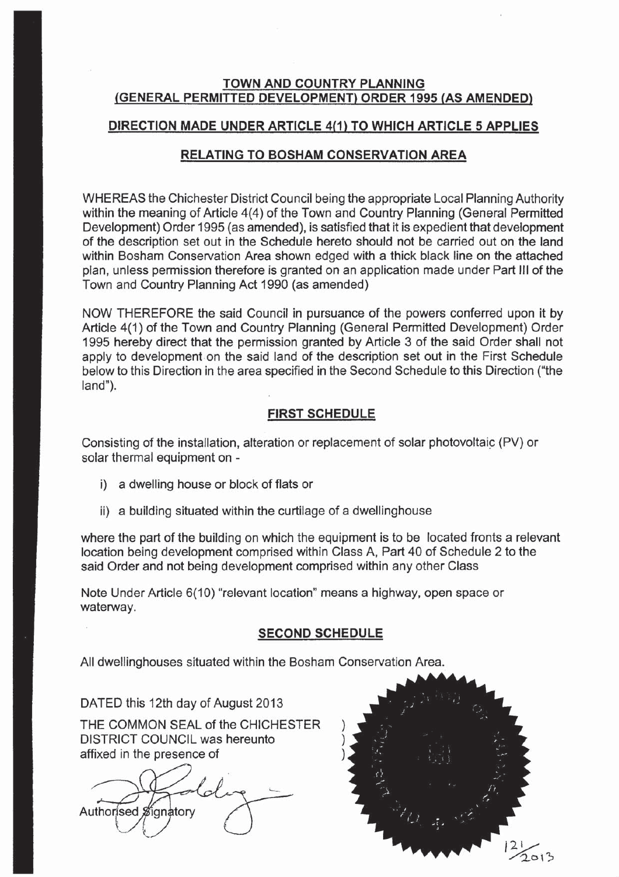### TOWN AND COUNTRY PLANNING (GENERAL PERMITTED DEVELOPMENT) ORDER 1995 (AS AMENDED)

### DIRECTION MADE UNDER ARTICLE 4(1) TO WHICH ARTICLE 5 APPLIES

### **RELATING TO BOSHAM CONSERVATION AREA**

WHEREAS the Chichester District Council being the appropriate Local Planning Authority within the meaning of Article 4(4) of the Town and Country Planning (General Permitted Development) Order 1995 (as amended), is satisfied that it is expedient that development of the description set out in the Schedule hereto should not be carried out on the land within Bosham Conservation Area shown edged with a thick black line on the attached plan, unless permission therefore is granted on an application made under Part III of the Town and Country Planning Act 1990 (as amended)

NOW THEREFORE the said Council in pursuance of the powers conferred upon it by Article 4(1) of the Town and Country Planning (General Permitted Development) Order 1995 hereby direct that the permission granted by Article 3 of the said Order shall not apply to development on the said land of the description set out in the First Schedule below to this Direction in the area specified in the Second Schedule to this Direction ("the land").

### **FIRST SCHEDULE**

Consisting of the installation, alteration or replacement of solar photovoltaic (PV) or solar thermal equipment on -

- i) a dwelling house or block of flats or
- ii) a building situated within the curtilage of a dwellinghouse

where the part of the building on which the equipment is to be located fronts a relevant location being development comprised within Class A, Part 40 of Schedule 2 to the said Order and not being development comprised within any other Class

Note Under Article 6(10) "relevant location" means a highway, open space or waterway.

#### **SECOND SCHEDULE**

All dwellinghouses situated within the Bosham Conservation Area.

DATED this 12th day of August 2013

THE COMMON SEAL of the CHICHESTER **DISTRICT COUNCIL was hereunto** affixed in the presence of

Authorised Signatory